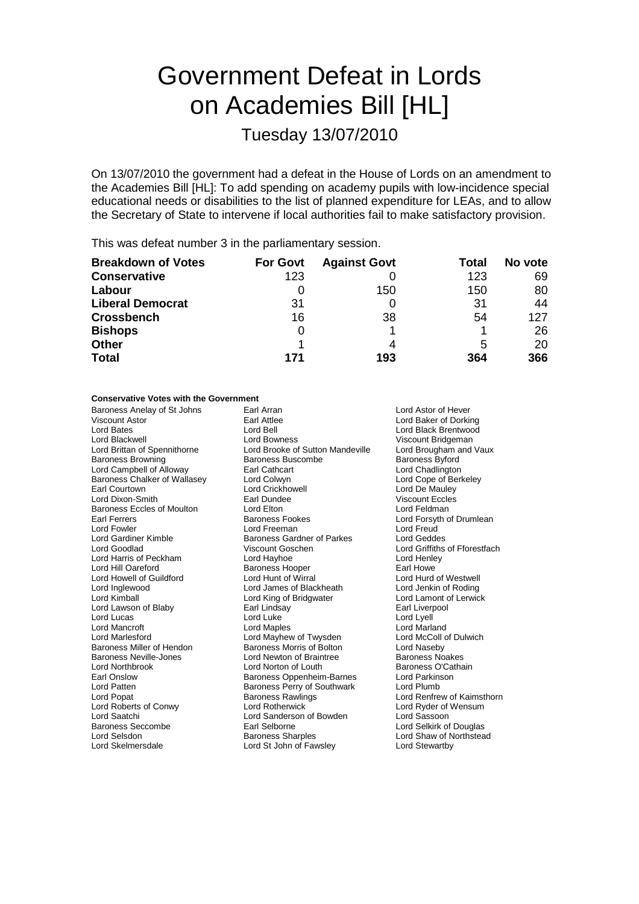# Government Defeat in Lords on Academies Bill [HL]

Tuesday 13/07/2010

On 13/07/2010 the government had a defeat in the House of Lords on an amendment to the Academies Bill [HL]: To add spending on academy pupils with low-incidence special educational needs or disabilities to the list of planned expenditure for LEAs, and to allow the Secretary of State to intervene if local authorities fail to make satisfactory provision.

This was defeat number 3 in the parliamentary session.

| <b>Breakdown of Votes</b> | <b>For Govt</b> | <b>Against Govt</b> | Total | No vote |
|---------------------------|-----------------|---------------------|-------|---------|
| <b>Conservative</b>       | 123             |                     | 123   | 69      |
| Labour                    |                 | 150                 | 150   | 80      |
| <b>Liberal Democrat</b>   | 31              |                     | 31    | 44      |
| <b>Crossbench</b>         | 16              | 38                  | 54    | 127     |
| <b>Bishops</b>            | 0               |                     |       | 26      |
| <b>Other</b>              |                 | 4                   | 5     | 20      |
| <b>Total</b>              | 171             | 193                 | 364   | 366     |

### **Conservative Votes with the Government**

Baroness Anelay of St Johns Earl Arran and Lord Astor of Hever<br>
Lord Baker of Dorki Baroness Chalker of Wallasey Lord Colwyn<br>Farl Courtown Lord Crickhowell Lord Harris of Peckham Lord Mancroft<br>Lord Marlesford

Lord Bates **Lord Bell Lord Bates Lord Black Brentwood**<br>
Lord Blackwell **Lord Bowness** Cord Bowness Cord Black Bridgeman Lord Blackwell **Lord Bowness** Cord Bowness Viscount Bridgeman<br>
Lord Brittan of Spennithorne Lord Brooke of Sutton Mandeville Lord Brougham and Vaux Lord Brooke of Sutton Mandeville Baroness Browning **Baroness Buscombe** Baroness Baroness Byford Lord Campbell of Alloway **Earl Cathcart Earl Cathcart** Lord Chadlington<br>
Baroness Chalker of Wallasey **Lord Colwyn Earl Collect Lord Cope of Berkeley** Lord Dixon-Smith Earl Dundee Viscount Eccles Baroness Eccles of Moulton Lord Elton Lord Entertainment Cord Feldman<br>
Earl Ferrers Cord Cord Cord Cord For Baroness Fookes Lord Forsyth c Lord Fowler Lord Freeman Lord Freud Lord Gardiner Kimble **Baroness Gardner of Parkes** Lord Geddes<br>
Lord Goodlad **Baroness Gardner Of Parkes** Lord Griffiths Viscount Goschen **Lord Griffiths of Fforestfach**<br>
Lord Havhoe Lord Griffiths of Fforestfach Lord Hill Oareford **Baroness Hooper** Earl Howe Lord Howell of Guildford Lord Hunt of Wirral Lord Hurd of Westwell Lord Inglewood Lord James of Blackheath Lord Jenkin of Roding Lord King of Bridgwater Lord Lawson of Blaby Earl Lindsay Earl Liverpool Lord Lucas Lord Luke Lord Lyell Lord Mayhew of Twysden Lord McColl of Dulwich Baroness Miller of Hendon Baroness Morris of Bolton Lord Naseby Baroness Neville-Jones **Lord Newton of Braintree** Baroness Noakes<br> **Rational Strainter Cord Newton of Louth** Baroness O'Cathain Lord Norton of Louth Earl Onslow **Earl Onslow Baroness Oppenheim-Barnes** Lord Parkinson<br>
Lord Patten **Baroness Perry of Southwark** Lord Plumb Baroness Perry of Southwark<br>Baroness Rawlings Lord Popat Baroness Rawlings Lord Renfrew of Kaimsthorn Lord Roberts of Conwy Lord Rotherwick Lord Ryder of Wensum Lord Saatchi Lord Sanderson of Bowden Lord Sassoon Baroness Seccombe Earl Selborne Earl Selborne Lord Selkirk of Douglas<br>
Lord Selsdon Baroness Sharoles Lord Shaw of Northstea Lord Skelmersdale Lord St John of Fawsley Lord Stewartby

Lord Baker of Dorking Lord De Mauley Lord Forsyth of Drumlean Lord Shaw of Northstead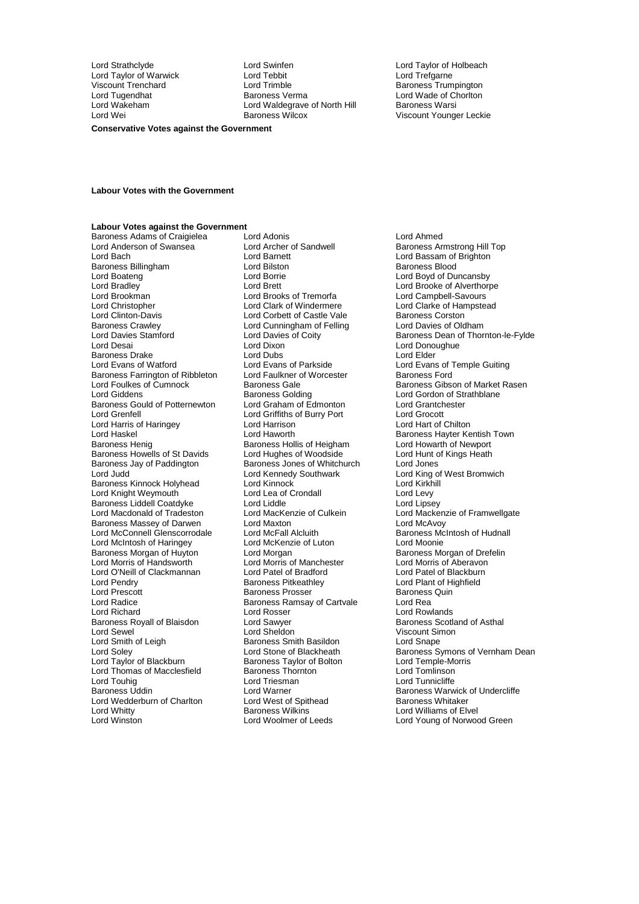Lord Taylor of Warwick Lord Tebbit<br>
Viscount Trenchard
Lord Trimble

Lord Strathclyde Lord Swinfen Lord Taylor of Holbeach Viscount Trenchard Lord Trimble Baroness Trumpington Lord Tugendhat Baroness Verma Lord Wade of Chorlton Lord Wakeham **Lord Waldegrave of North Hill**<br>
Lord Wei **Baroness Wilcox** 

Viscount Younger Leckie

#### **Conservative Votes against the Government**

#### **Labour Votes with the Government**

#### **Labour Votes against the Government**

Lord Anderson of Swansea Lord Archer of Sandwell Baroness Armstrong Hill Top<br>Lord Barch Baroness Armstrong Hill Top Lord Baroness Armstrong Hill Top Baroness Billingham Lord Boateng Lord Borrie Cord Borrie Cord Boyd of Duncansby<br>
Lord Bradley Lord Borrie Lord Brooke of Alverthorp<br>
Lord Brooke of Alverthorp Lord Bradley **Lord Brett** Lord Brett Lord Brooke of Alverthorpe<br>
Lord Brookman **Lord Brooks** of Tremorfa Lord Campbell-Savours Lord Brookman Lord Brooks of Tremorfa<br>Lord Christopher Lord Clark of Windermere Lord Christopher **Lord Clark of Windermere** Lord Clarke of Hampstead<br>
Lord Clinton-Davis **Lord Corbett of Castle Vale** Baroness Corston Lord Clinton-Davis **Lord Corbett of Castle Vale** Baroness Corston<br>
Baroness Crawley **Baroness Crawley** Lord Cunningham of Felling Lord Davies of Oldham Baroness Crawley **Lord Cunningham of Felling**<br>
Lord Davies Stamford **Lord Davies of Coity** Baroness Drake Lord Cord Dubs Lord Bubs Lord Elder<br>
Lord Evans of Watford Lord Evans of Parkside Lord Evans Baroness Farrington of Ribbleton Baroness Gould of Potternewton Lord Graham of Edmonton Lord Grantch<br>Lord Grantchester Lord Grantchester Lord Griffiths of Burry Port Lord Grocott Lord Grenfell<br>
Lord Grocott Lord Griffiths of Burry Port Lord Grocott<br>
Lord Harrison Lord Harrison Lord Harrison Lord Harrison Lord Harris of Haringey Lord Harrison<br>
Lord Haskel Chilton Cord Haworth Lord Haworth Baroness Hayter Kentish Town<br>
Baroness Henig<br>
Baroness Hollis of Heigham Lord Howarth of Newport Baroness Howells of St Davids Lord Hughes of Woodside Lord Hunt of Kings Heath<br>Baroness Jay of Paddington Baroness Jones of Whitchurch Lord Jones Baroness Jay of Paddington Baroness Jones of Whitchurch<br>
Lord Judd<br>
Lord Kennedy Southwark Baroness Kinnock Holyhead Lord Knight Weymouth **Lord Lea of Crondall** Lord Levy<br> **Baroness Liddell Coatdyke** Lord Liddle Lidde Lord Linsey Baroness Liddell Coatdyke Lord Liddle<br>Lord Macdonald of Tradeston Lord MacKenzie of Culkein Baroness Massey of Darwen Lord Maxton Lord Maxton Lord McAvoy<br>
Lord McConnell Glenscorrodale Lord McFall Alcluith Lord Baroness McIntosh of Hudnall Lord McConnell Glenscorrodale Lord McFall Alcluith<br>Lord McIntosh of Haringey Lord McKenzie of Luton Lord McIntosh of Haringey Lord McKenzie of Luton Lord Moonie<br>
Baroness Morgan of Huvton Lord Morgan Corporation Baroness Morgan of Drefelin Baroness Morgan of Huyton Lord Morgan Chromess Morgan baroness Morgan of Dre<br>
Lord Morris of Handsworth Lord Morris of Manchester Lord Morris of Aberavon Lord O'Neill of Clackmannan Lord Patel of Bradford<br>
Lord Pendry Clackmannan Baroness Pitkeathlev Lord Pendry **Baroness Pitkeathley Constitution**<br>
Lord Pendry **Baroness Pitkeathley Lord Plant of Highfield**<br>
Lord Prescott **Baroness Prosser** Baroness Quin Lord Radice **Baroness Ramsay of Cartvale** Lord Rea Lord Richard **Lord Rosser** Lord Rosser **Lord Rosser** Lord Rowlands<br>
Baroness Royall of Blaisdon Lord Sawyer **Lord Rosser Baroness Scotland of Asthal** Baroness Royall of Blaisdon Lord Sawyer<br>
Lord Sewel Cord Sheldon Lord Sewel **Communist Communist Communist Communist Communist Communist Communist Communist Communist Communist Communist Communist Communist Communist Communist Communist Communist Communist Communist Communist Communist** Lord Smith of Leigh Baroness Smith Basildon<br>
Lord Soley<br>
Lord Stone of Blackheath Lord Thomas of Macclesfield Baroness Thornton **Baroness Thomas**<br>
Lord Tomlinson Lord Triesman<br>
Lord Tomicliffe Lord Touhig Lord Triesman Lord Tunnicliffe Lord Wedderburn of Charlton Lord West of Spithead Baroness Wilkins<br>Lord Whitty Baroness Wilkins

Baroness Adams of Craigielea Lord Adonis Lord Ahmed Lord Bach Lord Barnett Lord Bassam of Brighton Baroness Golding<br>
Lord Graham of Edmonton<br>
Lord Grantchester<br>
Lord Grantchester Baroness Hollis of Heigham Lord Kennedy Southwark Lord King of West Bromwich<br>Lord Kinnock Lord Kirkhill Lord Morris of Manchester<br>
Lord Patel of Bradford<br>
Lord Patel of Blackburn Baroness Prosser Baroness Taylor of Bolton Lord Whitty **Communist Communist Communist Communist Communist Communist Communist Communist Communist Communist Communist Communist Communist Communist Communist Communist Communist Communist Communist Communist Communist** 

Lord Davies Stamford Lord Davies of Coity<br>
Lord Dixon<br>
Lord Dixon<br>
Lord Donoughue<br>
Lord Donoughue Lord Donoughue Lord Evans of Parkside<br>
Lord Eaulkner of Worcester<br>
Baroness Ford<br>
Cord Faulkner of Worcester<br>
Lord Evans Baroness Ford Lord Foulkes of Cumnock Baroness Gale Baroness Gale Baroness Gibson of Market Rasen<br>Baroness Golding Baroness Golding Baroness Colding Lord Gordon of Strathblane Lord MacKenzie of Culkein Lord Mackenzie of Framwellgate<br>Lord Maxton Lord McAvoy Lord Soley <sup>C</sup>ord Stone of Blackheath Baroness Symons of Vernham Dean<br>Lord Taylor of Blackburn Baroness Taylor of Bolton Lord Temple-Morris Lord Warner **Baroness Warwick of Undercliffe**<br>
Lord West of Spithead<br>
Baroness Whitaker Lord Young of Norwood Green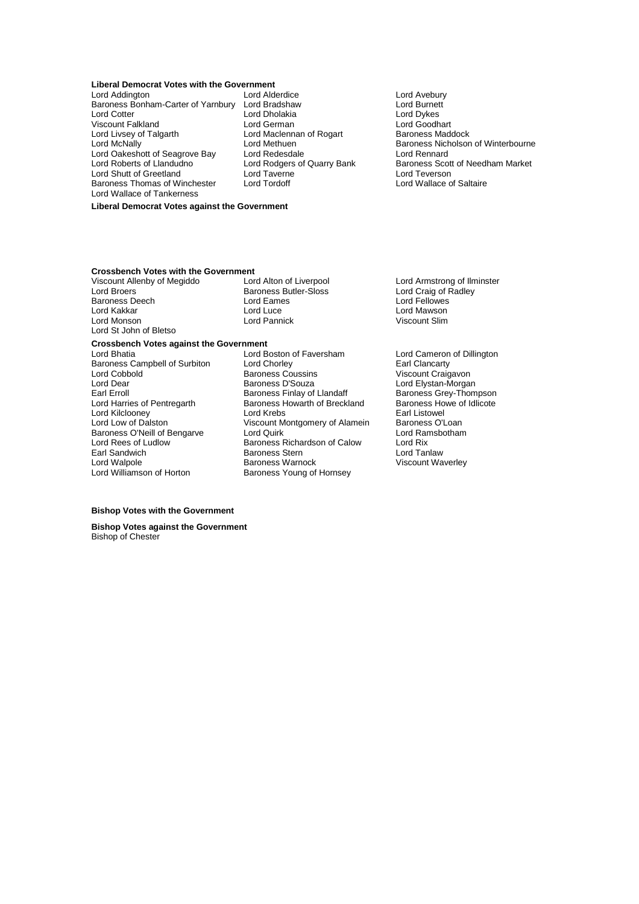### **Liberal Democrat Votes with the Government**<br>Lord Addington Lord Alderdice

Baroness Bonham-Carter of Yarnbury Lord Bradshaw **Lord Burnet**<br>Lord Cotter **Lord Burnet**<br>Lord Dykes Viscount Falkland<br>
Lord German Lord German Lord Live and Coodhart<br>
Lord Livsey of Talgarth Lord Maclennan of Rogart Baroness Maddock Lord Oakeshott of Seagrove Bay Lord Redesdale<br>Lord Roberts of Llandudno Lord Rodgers of Quarry Bank Lord Shutt of Greetland Lord Taverne Lord Taverne Lord Teverson<br>Baroness Thomas of Winchester Lord Tordoff Lord Lord Wallace of Saltaire Baroness Thomas of Winchester Lord Wallace of Tankerness

Lord Addington Lord Alderdice Lord Avebury Lord Cotter Lord Dholakia Lord Dykes Lord Maclennan of Rogart

Lord McNally **Lord Methuen**<br>
Lord Dakeshott of Seagrove Bay Lord Redesdale **Baroness Nicholson of Winterbourne**<br>
Lord Oakeshott of Seagrove Bay Lord Redesdale Lord Rodgers of Quarry Bank Baroness Scott of Needham Market<br>Lord Tayerne Bank Baroness Scott of Needham Market

### **Liberal Democrat Votes against the Government**

# **Crossbench Votes with the Government**<br>Viscount Allenby of Megiddo Lord Alton of Liverpool

Baroness Deech Lord Eame<br>
Lord Kakkar Lord Luce Lord St John of Bletso

Baroness Butler-Sloss Lord Craig of Radley<br>
Lord Eames Lord Craig of Radley<br>
Lord Eames Lord Fellowes Lord Kakkar Lord Luce Lord Mawson

# **Crossbench Votes against the Government**

- Lord Cobbold **Baroness Coussins**<br>
Lord Dear **Baroness D'Souza** Earl Sandwich Baroness Stern<br>
Lord Walpole Baroness Warnock<br>
Baroness Warnock Lord Williamson of Horton **Baroness Young of Hornsey**
- Baroness Campbell of Surbiton Lord Chorley **Earl Clancarty**<br>
Lord Cobbold **Collect Construent Construent Construent** Craigavon Lord Dear Baroness D'Souza Lord Elystan-Morgan Earl Erroll Baroness Finlay of Llandaff Baroness Grey-Thompson<br>Lord Harries of Pentregarth Baroness Howarth of Breckland Baroness Howe of Idlicote Exaroness Howarth of Breckland Baroness Howarth of Breckland Baroness Howe of Indian Baroness Howe of Indian B Lord Kilclooney The Lord Krebs Earl Listowel<br>Lord Low of Dalston The Collection Circle Cover Corress Collection Circle Cover Cover Cover Cover Cover Cover<br>Cover Cover Cover Cover Cover Cover Cover Cover Cover Cover Cover C Viscount Montgomery of Alamein Baroness O'Loan<br>Lord Quirk Baroness O'Loan Baroness O'Neill of Bengarve Lord Quirk Cord Ramsbotham Cord Ramsbotham Lord Ramsbotham Cord Ramsbotham Cord Rix Lord Rees of Ludlow **Baroness Richardson of Calow** Lord Rix<br>
Earl Sandwich **Baroness Stern** Lord Tanlaw

Viscount Allenby of Megiddo Lord Alton of Liverpool Lord Armstrong of Ilminster<br>
Lord Broers
Lord Craig of Radlev
Lord Craig of Radlev
Lord Craig of Radlev
Lord Craig of Radlev
Lord Craig of Radlev
Lord Craig of Radlev

Lo Viscount Slim

> Lord Cameron of Dillington Viscount Waverley

### **Bishop Votes with the Government**

**Bishop Votes against the Government** Bishop of Chester